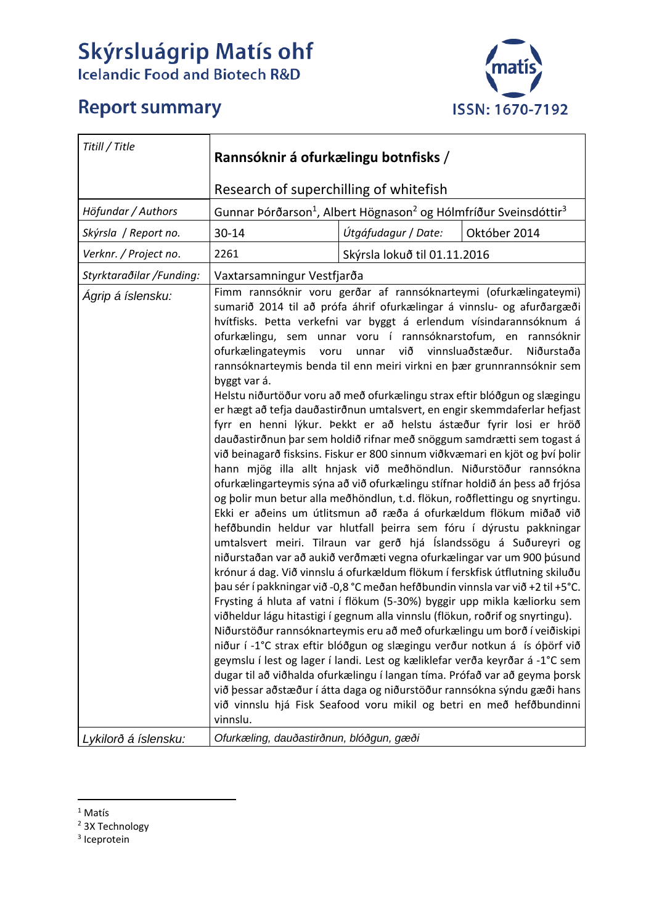## Skýrsluágrip Matís ohf<br>Icelandic Food and Biotech R&D

## **Report summary**



| Titill / Title           | Rannsóknir á ofurkælingu botnfisks /                                                                                                                                                                                                                                                                                                                                                                                                                                                                                                                                                                                                                                                                                                                                                                                                                                                                                                                                                                                                                                                                                                                                                                                                                                                                                                                                                                                                                                                                                                                                                                                                                                                                                                                                                                                                                                                                                                                                                                                                                                                                                                                                                       |                              |                                    |  |
|--------------------------|--------------------------------------------------------------------------------------------------------------------------------------------------------------------------------------------------------------------------------------------------------------------------------------------------------------------------------------------------------------------------------------------------------------------------------------------------------------------------------------------------------------------------------------------------------------------------------------------------------------------------------------------------------------------------------------------------------------------------------------------------------------------------------------------------------------------------------------------------------------------------------------------------------------------------------------------------------------------------------------------------------------------------------------------------------------------------------------------------------------------------------------------------------------------------------------------------------------------------------------------------------------------------------------------------------------------------------------------------------------------------------------------------------------------------------------------------------------------------------------------------------------------------------------------------------------------------------------------------------------------------------------------------------------------------------------------------------------------------------------------------------------------------------------------------------------------------------------------------------------------------------------------------------------------------------------------------------------------------------------------------------------------------------------------------------------------------------------------------------------------------------------------------------------------------------------------|------------------------------|------------------------------------|--|
|                          | Research of superchilling of whitefish                                                                                                                                                                                                                                                                                                                                                                                                                                                                                                                                                                                                                                                                                                                                                                                                                                                                                                                                                                                                                                                                                                                                                                                                                                                                                                                                                                                                                                                                                                                                                                                                                                                                                                                                                                                                                                                                                                                                                                                                                                                                                                                                                     |                              |                                    |  |
| Höfundar / Authors       | Gunnar Þórðarson <sup>1</sup> , Albert Högnason <sup>2</sup> og Hólmfríður Sveinsdóttir <sup>3</sup>                                                                                                                                                                                                                                                                                                                                                                                                                                                                                                                                                                                                                                                                                                                                                                                                                                                                                                                                                                                                                                                                                                                                                                                                                                                                                                                                                                                                                                                                                                                                                                                                                                                                                                                                                                                                                                                                                                                                                                                                                                                                                       |                              |                                    |  |
| Skýrsla / Report no.     | 30-14                                                                                                                                                                                                                                                                                                                                                                                                                                                                                                                                                                                                                                                                                                                                                                                                                                                                                                                                                                                                                                                                                                                                                                                                                                                                                                                                                                                                                                                                                                                                                                                                                                                                                                                                                                                                                                                                                                                                                                                                                                                                                                                                                                                      | Útgáfudagur / Date:          | Október 2014                       |  |
| Verknr. / Project no.    | 2261                                                                                                                                                                                                                                                                                                                                                                                                                                                                                                                                                                                                                                                                                                                                                                                                                                                                                                                                                                                                                                                                                                                                                                                                                                                                                                                                                                                                                                                                                                                                                                                                                                                                                                                                                                                                                                                                                                                                                                                                                                                                                                                                                                                       | Skýrsla lokuð til 01.11.2016 |                                    |  |
| Styrktaraðilar /Funding: |                                                                                                                                                                                                                                                                                                                                                                                                                                                                                                                                                                                                                                                                                                                                                                                                                                                                                                                                                                                                                                                                                                                                                                                                                                                                                                                                                                                                                                                                                                                                                                                                                                                                                                                                                                                                                                                                                                                                                                                                                                                                                                                                                                                            |                              |                                    |  |
| Ágrip á íslensku:        | Vaxtarsamningur Vestfjarða<br>Fimm rannsóknir voru gerðar af rannsóknarteymi (ofurkælingateymi)<br>sumarið 2014 til að prófa áhrif ofurkælingar á vinnslu- og afurðargæði<br>hvítfisks. Þetta verkefni var byggt á erlendum vísindarannsóknum á<br>ofurkælingu, sem unnar voru í rannsóknarstofum, en rannsóknir<br>ofurkælingateymis voru<br>unnar<br>rannsóknarteymis benda til enn meiri virkni en þær grunnrannsóknir sem<br>byggt var á.<br>Helstu niðurtöður voru að með ofurkælingu strax eftir blóðgun og slægingu<br>er hægt að tefja dauðastirðnun umtalsvert, en engir skemmdaferlar hefjast<br>fyrr en henni lýkur. Þekkt er að helstu ástæður fyrir losi er hröð<br>dauðastirðnun þar sem holdið rifnar með snöggum samdrætti sem togast á<br>við beinagarð fisksins. Fiskur er 800 sinnum viðkvæmari en kjöt og því þolir<br>hann mjög illa allt hnjask við meðhöndlun. Niðurstöður rannsókna<br>ofurkælingarteymis sýna að við ofurkælingu stífnar holdið án þess að frjósa<br>og þolir mun betur alla meðhöndlun, t.d. flökun, roðflettingu og snyrtingu.<br>Ekki er aðeins um útlitsmun að ræða á ofurkældum flökum miðað við<br>hefðbundin heldur var hlutfall þeirra sem fóru í dýrustu pakkningar<br>umtalsvert meiri. Tilraun var gerð hjá Íslandssögu á Suðureyri og<br>niðurstaðan var að aukið verðmæti vegna ofurkælingar var um 900 þúsund<br>krónur á dag. Við vinnslu á ofurkældum flökum í ferskfisk útflutning skiluðu<br>pau sér í pakkningar við -0,8 °C meðan hefðbundin vinnsla var við +2 til +5°C.<br>Frysting á hluta af vatni í flökum (5-30%) byggir upp mikla kæliorku sem<br>viðheldur lágu hitastigi í gegnum alla vinnslu (flökun, roðrif og snyrtingu).<br>Niðurstöður rannsóknarteymis eru að með ofurkælingu um borð í veiðiskipi<br>niður í -1°C strax eftir blóðgun og slægingu verður notkun á ís óþörf við<br>geymslu í lest og lager í landi. Lest og kæliklefar verða keyrðar á -1°C sem<br>dugar til að viðhalda ofurkælingu í langan tíma. Prófað var að geyma þorsk<br>við þessar aðstæður í átta daga og niðurstöður rannsókna sýndu gæði hans<br>við vinnslu hjá Fisk Seafood voru mikil og betri en með hefðbundinni<br>vinnslu. |                              | við vinnsluaðstæður.<br>Niðurstaða |  |
| Lykilorð á íslensku:     | Ofurkæling, dauðastirðnun, blóðgun, gæði                                                                                                                                                                                                                                                                                                                                                                                                                                                                                                                                                                                                                                                                                                                                                                                                                                                                                                                                                                                                                                                                                                                                                                                                                                                                                                                                                                                                                                                                                                                                                                                                                                                                                                                                                                                                                                                                                                                                                                                                                                                                                                                                                   |                              |                                    |  |

 <sup>1</sup> Matís

<sup>3</sup> Iceprotein

<sup>2</sup> 3X Technology